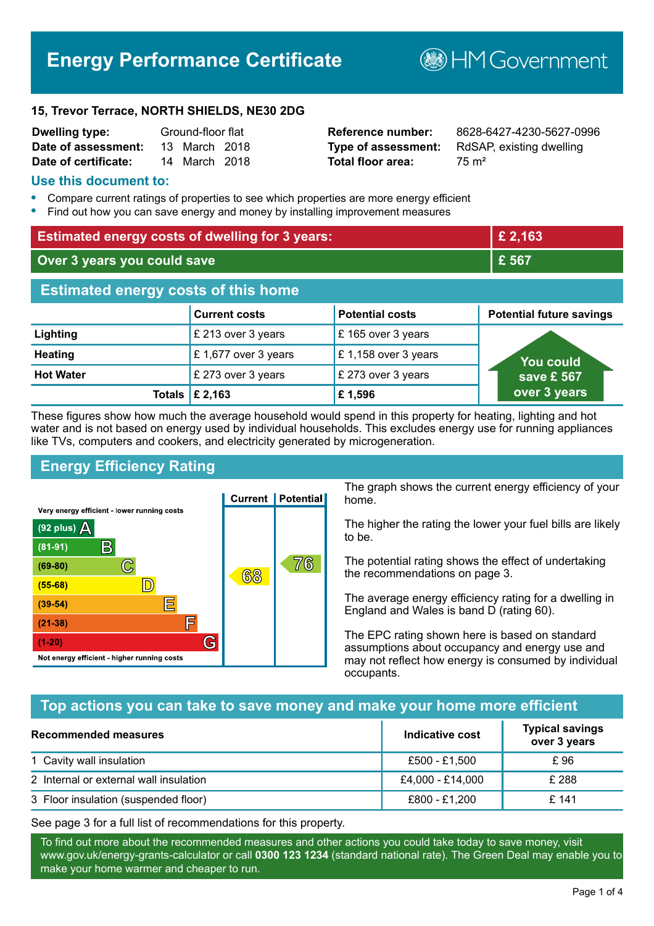# **Energy Performance Certificate**

**B**HM Government

#### **15, Trevor Terrace, NORTH SHIELDS, NE30 2DG**

| <b>Dwelling type:</b> | Ground-floor flat |               |  |
|-----------------------|-------------------|---------------|--|
| Date of assessment:   |                   | 13 March 2018 |  |
| Date of certificate:  |                   | 14 March 2018 |  |

**Total floor area:** 75 m<sup>2</sup>

**Reference number:** 8628-6427-4230-5627-0996 **Type of assessment:** RdSAP, existing dwelling

### **Use this document to:**

- **•** Compare current ratings of properties to see which properties are more energy efficient
- **•** Find out how you can save energy and money by installing improvement measures

| <b>Estimated energy costs of dwelling for 3 years:</b> |                           | £ 2,163                |                                 |
|--------------------------------------------------------|---------------------------|------------------------|---------------------------------|
| Over 3 years you could save                            |                           | £ 567                  |                                 |
| <b>Estimated energy costs of this home</b>             |                           |                        |                                 |
|                                                        | <b>Current costs</b>      | <b>Potential costs</b> | <b>Potential future savings</b> |
| Lighting                                               | £ 213 over 3 years        | £165 over 3 years      |                                 |
| <b>Heating</b>                                         | £ 1,677 over 3 years      | £1,158 over 3 years    | You could                       |
| <b>Hot Water</b>                                       | £ 273 over 3 years        | £ 273 over 3 years     | save £ 567                      |
|                                                        | Totals $\mathsf{E}$ 2,163 | £1,596                 | over 3 years                    |

These figures show how much the average household would spend in this property for heating, lighting and hot water and is not based on energy used by individual households. This excludes energy use for running appliances like TVs, computers and cookers, and electricity generated by microgeneration.

# **Energy Efficiency Rating**



The graph shows the current energy efficiency of your home.

The higher the rating the lower your fuel bills are likely to be.

The potential rating shows the effect of undertaking the recommendations on page 3.

The average energy efficiency rating for a dwelling in England and Wales is band D (rating 60).

The EPC rating shown here is based on standard assumptions about occupancy and energy use and may not reflect how energy is consumed by individual occupants.

# **Top actions you can take to save money and make your home more efficient**

| Recommended measures                   | Indicative cost  | <b>Typical savings</b><br>over 3 years |
|----------------------------------------|------------------|----------------------------------------|
| 1 Cavity wall insulation               | £500 - £1.500    | £ 96                                   |
| 2 Internal or external wall insulation | £4,000 - £14,000 | £ 288                                  |
| 3 Floor insulation (suspended floor)   | £800 - £1,200    | £ 141                                  |

See page 3 for a full list of recommendations for this property.

To find out more about the recommended measures and other actions you could take today to save money, visit www.gov.uk/energy-grants-calculator or call **0300 123 1234** (standard national rate). The Green Deal may enable you to make your home warmer and cheaper to run.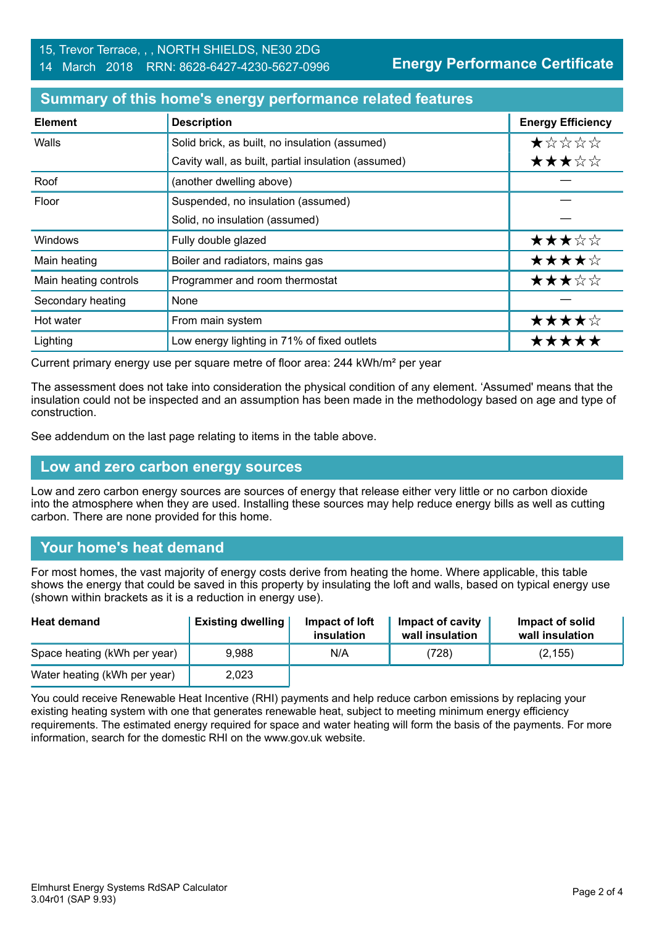**Energy Performance Certificate**

#### **Summary of this home's energy performance related features**

| <b>Element</b>        | <b>Description</b>                                  | <b>Energy Efficiency</b> |
|-----------------------|-----------------------------------------------------|--------------------------|
| Walls                 | Solid brick, as built, no insulation (assumed)      | ★☆☆☆☆                    |
|                       | Cavity wall, as built, partial insulation (assumed) | ★★★☆☆                    |
| Roof                  | (another dwelling above)                            |                          |
| Floor                 | Suspended, no insulation (assumed)                  |                          |
|                       | Solid, no insulation (assumed)                      |                          |
| Windows               | Fully double glazed                                 | ★★★☆☆                    |
| Main heating          | Boiler and radiators, mains gas                     | ★★★★☆                    |
| Main heating controls | Programmer and room thermostat                      | ★★★☆☆                    |
| Secondary heating     | None                                                |                          |
| Hot water             | From main system                                    | ★★★★☆                    |
| Lighting              | Low energy lighting in 71% of fixed outlets         | *****                    |

Current primary energy use per square metre of floor area: 244 kWh/m² per year

The assessment does not take into consideration the physical condition of any element. 'Assumed' means that the insulation could not be inspected and an assumption has been made in the methodology based on age and type of construction.

See addendum on the last page relating to items in the table above.

#### **Low and zero carbon energy sources**

Low and zero carbon energy sources are sources of energy that release either very little or no carbon dioxide into the atmosphere when they are used. Installing these sources may help reduce energy bills as well as cutting carbon. There are none provided for this home.

# **Your home's heat demand**

For most homes, the vast majority of energy costs derive from heating the home. Where applicable, this table shows the energy that could be saved in this property by insulating the loft and walls, based on typical energy use (shown within brackets as it is a reduction in energy use).

| <b>Heat demand</b>           | <b>Existing dwelling</b> | Impact of loft<br>insulation | Impact of cavity<br>wall insulation | Impact of solid<br>wall insulation |
|------------------------------|--------------------------|------------------------------|-------------------------------------|------------------------------------|
| Space heating (kWh per year) | 9.988                    | N/A                          | (728)                               | (2, 155)                           |
| Water heating (kWh per year) | 2.023                    |                              |                                     |                                    |

You could receive Renewable Heat Incentive (RHI) payments and help reduce carbon emissions by replacing your existing heating system with one that generates renewable heat, subject to meeting minimum energy efficiency requirements. The estimated energy required for space and water heating will form the basis of the payments. For more information, search for the domestic RHI on the www.gov.uk website.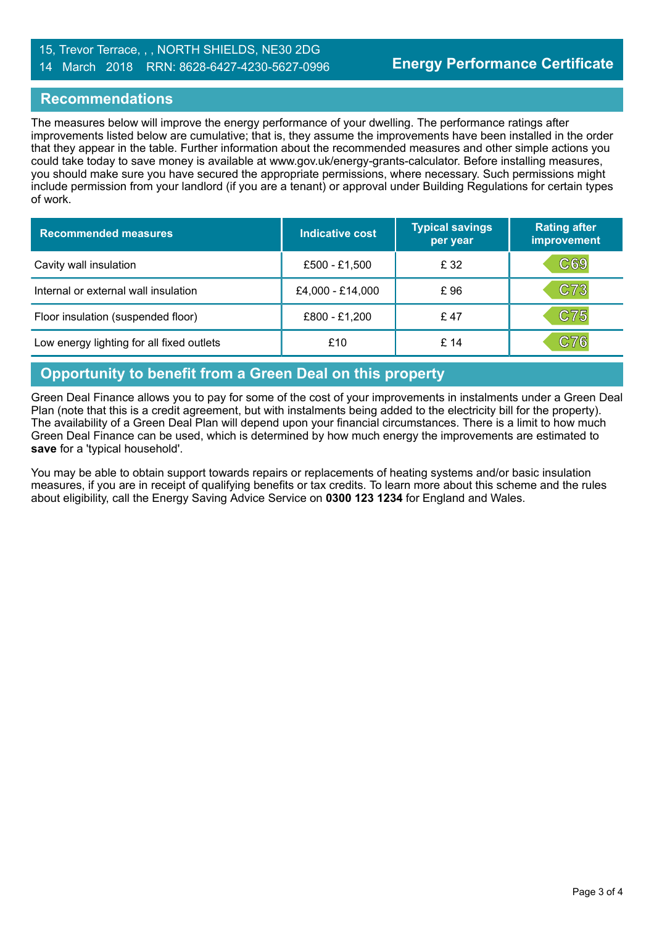#### 15, Trevor Terrace, , , NORTH SHIELDS, NE30 2DG 14 March 2018 RRN: 8628-6427-4230-5627-0996

## **Recommendations**

The measures below will improve the energy performance of your dwelling. The performance ratings after improvements listed below are cumulative; that is, they assume the improvements have been installed in the order that they appear in the table. Further information about the recommended measures and other simple actions you could take today to save money is available at www.gov.uk/energy-grants-calculator. Before installing measures, you should make sure you have secured the appropriate permissions, where necessary. Such permissions might include permission from your landlord (if you are a tenant) or approval under Building Regulations for certain types of work.

| <b>Recommended measures</b>               | Indicative cost  | <b>Typical savings</b><br>per year | <b>Rating after</b><br>improvement |
|-------------------------------------------|------------------|------------------------------------|------------------------------------|
| Cavity wall insulation                    | £500 - £1,500    | £ 32                               | C69                                |
| Internal or external wall insulation      | £4,000 - £14,000 | £96                                | C73                                |
| Floor insulation (suspended floor)        | £800 - £1,200    | £47                                | C75                                |
| Low energy lighting for all fixed outlets | £10              | £14                                | C76                                |

## **Opportunity to benefit from a Green Deal on this property**

Green Deal Finance allows you to pay for some of the cost of your improvements in instalments under a Green Deal Plan (note that this is a credit agreement, but with instalments being added to the electricity bill for the property). The availability of a Green Deal Plan will depend upon your financial circumstances. There is a limit to how much Green Deal Finance can be used, which is determined by how much energy the improvements are estimated to **save** for a 'typical household'.

You may be able to obtain support towards repairs or replacements of heating systems and/or basic insulation measures, if you are in receipt of qualifying benefits or tax credits. To learn more about this scheme and the rules about eligibility, call the Energy Saving Advice Service on **0300 123 1234** for England and Wales.